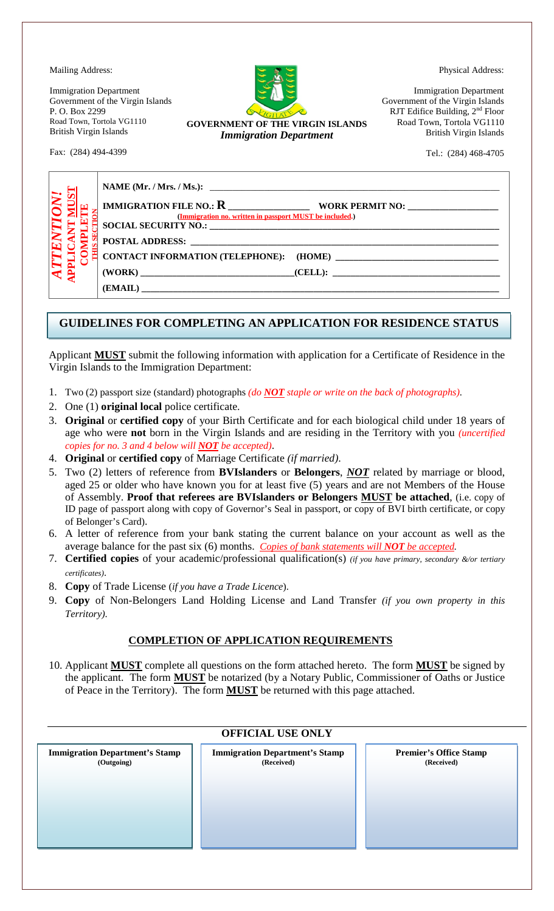Mailing Address:

Immigration Department Government of the Virgin Islands P. O. Box 2299 Road Town, Tortola VG1110 British Virgin Islands

Fax: (284) 494-4399

**GOVERNMENT OF THE VIRGIN ISLANDS** *Immigration Department*

Immigration Department Government of the Virgin Islands RJT Edifice Building,  $2<sup>nd</sup>$  Floor Road Town, Tortola VG1110 British Virgin Islands

Tel.: (284) 468-4705

Physical Address:

|  |  |  | (Immigration no. written in passport MUST be included.)<br>SOCIAL SECURITY NO.: |  |
|--|--|--|---------------------------------------------------------------------------------|--|
|  |  |  |                                                                                 |  |
|  |  |  |                                                                                 |  |
|  |  |  |                                                                                 |  |
|  |  |  |                                                                                 |  |

#### **GUIDELINES FOR COMPLETING AN APPLICATION FOR RESIDENCE STATUS**

Applicant **MUST** submit the following information with application for a Certificate of Residence in the Virgin Islands to the Immigration Department:

- 1. Two (2) passport size (standard) photographs *(do NOT staple or write on the back of photographs)*.
- 2. One (1) **original local** police certificate.
- 3. **Original** or **certified copy** of your Birth Certificate and for each biological child under 18 years of age who were **not** born in the Virgin Islands and are residing in the Territory with you *(uncertified copies for no. 3 and 4 below will NOT be accepted)*.
- 4. **Original** or **certified copy** of Marriage Certificate *(if married)*.
- 5. Two (2) letters of reference from **BVIslanders** or **Belongers**, *NOT* related by marriage or blood, aged 25 or older who have known you for at least five (5) years and are not Members of the House of Assembly. **Proof that referees are BVIslanders or Belongers MUST be attached**, (i.e. copy of ID page of passport along with copy of Governor's Seal in passport, or copy of BVI birth certificate, or copy of Belonger's Card).
- 6. A letter of reference from your bank stating the current balance on your account as well as the average balance for the past six (6) months. *Copies of bank statements will NOT be accepted.*
- 7. **Certified copies** of your academic/professional qualification(s) *(if you have primary, secondary &/or tertiary certificates)*.
- 8. **Copy** of Trade License (*if you have a Trade Licence*).
- 9. **Copy** of Non-Belongers Land Holding License and Land Transfer *(if you own property in this Territory)*.

#### **COMPLETION OF APPLICATION REQUIREMENTS**

10. Applicant **MUST** complete all questions on the form attached hereto. The form **MUST** be signed by the applicant. The form **MUST** be notarized (by a Notary Public, Commissioner of Oaths or Justice of Peace in the Territory). The form **MUST** be returned with this page attached.

| <b>OFFICIAL USE ONLY</b>              |                                       |                               |  |  |  |
|---------------------------------------|---------------------------------------|-------------------------------|--|--|--|
| <b>Immigration Department's Stamp</b> | <b>Immigration Department's Stamp</b> | <b>Premier's Office Stamp</b> |  |  |  |
| (Outgoing)                            | (Received)                            | (Received)                    |  |  |  |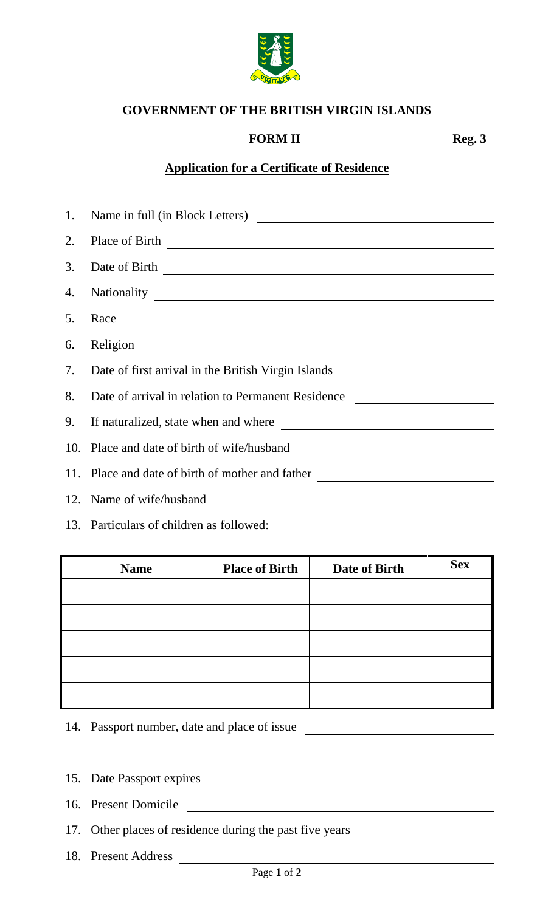

## **GOVERNMENT OF THE BRITISH VIRGIN ISLANDS**

## **FORM II** Reg. 3

### **Application for a Certificate of Residence**

| 2. |                                                                                  |  |
|----|----------------------------------------------------------------------------------|--|
| 3. |                                                                                  |  |
| 4. |                                                                                  |  |
| 5. | Race                                                                             |  |
| 6. |                                                                                  |  |
|    | 7. Date of first arrival in the British Virgin Islands _________________________ |  |
| 8. | Date of arrival in relation to Permanent Residence                               |  |
| 9. |                                                                                  |  |
|    |                                                                                  |  |
|    | 11. Place and date of birth of mother and father _______________________________ |  |
|    | 12. Name of wife/husband                                                         |  |
|    |                                                                                  |  |

13. Particulars of children as followed:

| <b>Name</b> | <b>Place of Birth</b> | Date of Birth | <b>Sex</b> |
|-------------|-----------------------|---------------|------------|
|             |                       |               |            |
|             |                       |               |            |
|             |                       |               |            |
|             |                       |               |            |
|             |                       |               |            |

# 14. Passport number, date and place of issue

- 15. Date Passport expires
- 16. Present Domicile
- 17. Other places of residence during the past five years \_\_\_\_\_\_\_\_\_\_\_\_\_\_\_\_\_\_\_\_\_\_\_
- 18. Present Address